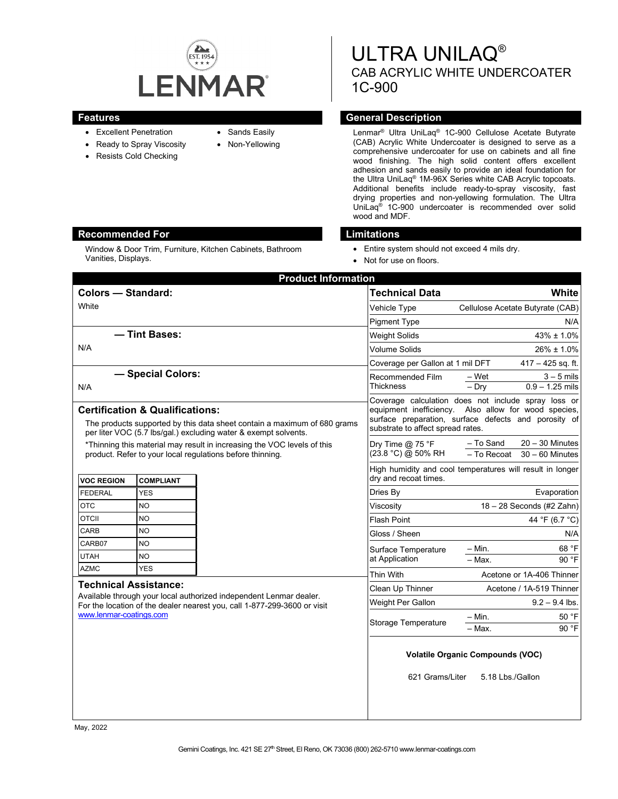

- Excellent Penetration
- Ready to Spray Viscosity
- Resists Cold Checking
- Sands Easily
- Non-Yellowing

ULTRA UNILAQ® CAB ACRYLIC WHITE UNDERCOATER 1C-900

### **Features General Description**

Lenmar® Ultra UniLaq® 1C-900 Cellulose Acetate Butyrate (CAB) Acrylic White Undercoater is designed to serve as a comprehensive undercoater for use on cabinets and all fine wood finishing. The high solid content offers excellent adhesion and sands easily to provide an ideal foundation for the Ultra UniLaq® 1M-96X Series white CAB Acrylic topcoats. Additional benefits include ready-to-spray viscosity, fast drying properties and non-yellowing formulation. The Ultra UniLaq® 1C-900 undercoater is recommended over solid wood and MDF.

### **Recommended For Limitations**

Window & Door Trim, Furniture, Kitchen Cabinets, Bathroom Vanities, Displays.

- Entire system should not exceed 4 mils dry.
- Not for use on floors.

| <b>Product Information</b>                                                                                                                                                                |            |  |                                                                                                                                                                                                          |                                                                    |
|-------------------------------------------------------------------------------------------------------------------------------------------------------------------------------------------|------------|--|----------------------------------------------------------------------------------------------------------------------------------------------------------------------------------------------------------|--------------------------------------------------------------------|
| <b>Colors - Standard:</b>                                                                                                                                                                 |            |  | <b>Technical Data</b>                                                                                                                                                                                    | White                                                              |
| White                                                                                                                                                                                     |            |  | Vehicle Type                                                                                                                                                                                             | Cellulose Acetate Butyrate (CAB)                                   |
|                                                                                                                                                                                           |            |  | <b>Pigment Type</b>                                                                                                                                                                                      | N/A                                                                |
| - Tint Bases:                                                                                                                                                                             |            |  | <b>Weight Solids</b>                                                                                                                                                                                     | 43% ± 1.0%                                                         |
| N/A                                                                                                                                                                                       |            |  | <b>Volume Solids</b>                                                                                                                                                                                     | $26\% \pm 1.0\%$                                                   |
|                                                                                                                                                                                           |            |  | Coverage per Gallon at 1 mil DFT                                                                                                                                                                         | $417 - 425$ sq. ft.                                                |
| - Special Colors:                                                                                                                                                                         |            |  | Recommended Film                                                                                                                                                                                         | $3 - 5$ mils<br>– Wet                                              |
| N/A                                                                                                                                                                                       |            |  | <b>Thickness</b>                                                                                                                                                                                         | $0.9 - 1.25$ mils<br>$-$ Dry                                       |
| <b>Certification &amp; Qualifications:</b><br>The products supported by this data sheet contain a maximum of 680 grams<br>per liter VOC (5.7 lbs/gal.) excluding water & exempt solvents. |            |  | Coverage calculation does not include spray loss or<br>equipment inefficiency. Also allow for wood species,<br>surface preparation, surface defects and porosity of<br>substrate to affect spread rates. |                                                                    |
| *Thinning this material may result in increasing the VOC levels of this<br>product. Refer to your local regulations before thinning.                                                      |            |  | Dry Time @ 75 °F<br>(23.8 °C) @ 50% RH                                                                                                                                                                   | $20 - 30$ Minutes<br>- To Sand<br>- To Recoat<br>$30 - 60$ Minutes |
| <b>VOC REGION</b><br><b>COMPLIANT</b>                                                                                                                                                     |            |  | High humidity and cool temperatures will result in longer<br>dry and recoat times.                                                                                                                       |                                                                    |
| <b>FEDERAL</b>                                                                                                                                                                            | <b>YES</b> |  | Dries By                                                                                                                                                                                                 | Evaporation                                                        |
| <b>OTC</b>                                                                                                                                                                                | NO.        |  | Viscosity                                                                                                                                                                                                | $18 - 28$ Seconds (#2 Zahn)                                        |
| <b>OTCII</b>                                                                                                                                                                              | <b>NO</b>  |  | <b>Flash Point</b>                                                                                                                                                                                       | 44 °F (6.7 °C)                                                     |
| CARB                                                                                                                                                                                      | <b>NO</b>  |  | Gloss / Sheen                                                                                                                                                                                            | N/A                                                                |
| CARB07                                                                                                                                                                                    | <b>NO</b>  |  | Surface Temperature                                                                                                                                                                                      | 68 °F<br>– Min.                                                    |
| <b>UTAH</b>                                                                                                                                                                               | <b>NO</b>  |  | at Application                                                                                                                                                                                           | $-$ Max.<br>90 °F                                                  |
| <b>AZMC</b>                                                                                                                                                                               | <b>YES</b> |  | Thin With                                                                                                                                                                                                | Acetone or 1A-406 Thinner                                          |
| <b>Technical Assistance:</b>                                                                                                                                                              |            |  | Clean Up Thinner                                                                                                                                                                                         | Acetone / 1A-519 Thinner                                           |
| Available through your local authorized independent Lenmar dealer.<br>For the location of the dealer nearest you, call 1-877-299-3600 or visit                                            |            |  | Weight Per Gallon                                                                                                                                                                                        | $9.2 - 9.4$ lbs.                                                   |
| www.lenmar-coatings.com                                                                                                                                                                   |            |  | Storage Temperature                                                                                                                                                                                      | 50 °F<br>– Min.<br>90 °F<br>- Max.                                 |
|                                                                                                                                                                                           |            |  | <b>Volatile Organic Compounds (VOC)</b>                                                                                                                                                                  |                                                                    |
|                                                                                                                                                                                           |            |  | 621 Grams/Liter                                                                                                                                                                                          | 5.18 Lbs./Gallon                                                   |